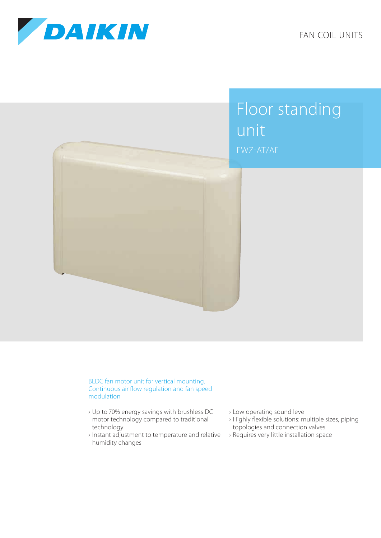

FAN COIL UNITS



## BLDC fan motor unit for vertical mounting. Continuous air flow regulation and fan speed modulation

- › Up to 70% energy savings with brushless DC motor technology compared to traditional technology
- › Instant adjustment to temperature and relative humidity changes
- › Low operating sound level
- › Highly flexible solutions: multiple sizes, piping topologies and connection valves
- › Requires very little installation space